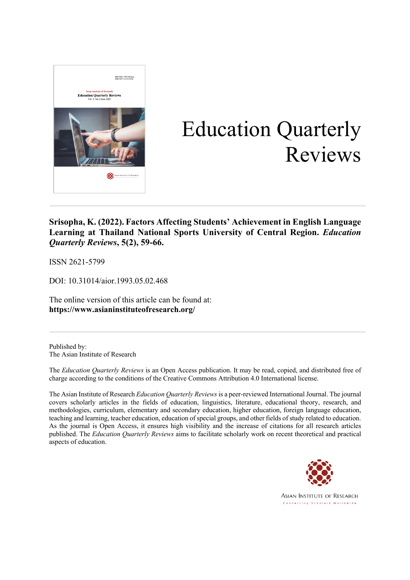

# Education Quarterly Reviews

**Srisopha, K. (2022). Factors Affecting Students' Achievement in English Language Learning at Thailand National Sports University of Central Region.** *Education Quarterly Reviews***, 5(2), 59-66.**

ISSN 2621-5799

DOI: 10.31014/aior.1993.05.02.468

The online version of this article can be found at: **https://www.asianinstituteofresearch.org/**

Published by: The Asian Institute of Research

The *Education Quarterly Reviews* is an Open Access publication. It may be read, copied, and distributed free of charge according to the conditions of the Creative Commons Attribution 4.0 International license.

The Asian Institute of Research *Education Quarterly Reviews* is a peer-reviewed International Journal. The journal covers scholarly articles in the fields of education, linguistics, literature, educational theory, research, and methodologies, curriculum, elementary and secondary education, higher education, foreign language education, teaching and learning, teacher education, education of special groups, and other fields of study related to education. As the journal is Open Access, it ensures high visibility and the increase of citations for all research articles published. The *Education Quarterly Reviews* aims to facilitate scholarly work on recent theoretical and practical aspects of education.



**ASIAN INSTITUTE OF RESEARCH** Connecting Scholars Worldwide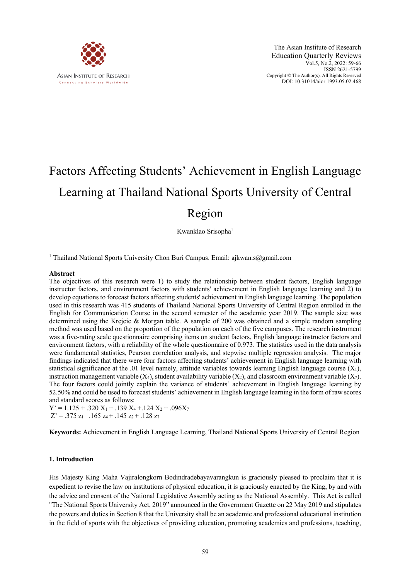

# Factors Affecting Students' Achievement in English Language Learning at Thailand National Sports University of Central Region

Kwanklao Srisopha<sup>1</sup>

<sup>1</sup> Thailand National Sports University Chon Buri Campus. Email: ajkwan.s@gmail.com

#### **Abstract**

The objectives of this research were 1) to study the relationship between student factors, English language instructor factors, and environment factors with students' achievement in English language learning and 2) to develop equations to forecast factors affecting students' achievement in English language learning. The population used in this research was 415 students of Thailand National Sports University of Central Region enrolled in the English for Communication Course in the second semester of the academic year 2019. The sample size was determined using the Krejcie & Morgan table. A sample of 200 was obtained and a simple random sampling method was used based on the proportion of the population on each of the five campuses. The research instrument was a five-rating scale questionnaire comprising items on student factors, English language instructor factors and environment factors, with a reliability of the whole questionnaire of 0.973. The statistics used in the data analysis were fundamental statistics, Pearson correlation analysis, and stepwise multiple regression analysis. The major findings indicated that there were four factors affecting students' achievement in English language learning with statistical significance at the .01 level namely, attitude variables towards learning English language course  $(X_1)$ , instruction management variable  $(X_4)$ , student availability variable  $(X_2)$ , and classroom environment variable  $(X_7)$ . The four factors could jointly explain the variance of students' achievement in English language learning by 52.50% and could be used to forecast students' achievement in English language learning in the form of raw scores and standard scores as follows:

 $Y' = 1.125 + .320 X_1 + .139 X_4 + .124 X_2 + .096 X_7$  $Z' = .375 z_1$  .165  $z_4$  + .145  $z_2$  + .128  $z_7$ 

**Keywords:** Achievement in English Language Learning, Thailand National Sports University of Central Region

### **1. Introduction**

His Majesty King Maha Vajiralongkorn Bodindradebayavarangkun is graciously pleased to proclaim that it is expedient to revise the law on institutions of physical education, it is graciously enacted by the King, by and with the advice and consent of the National Legislative Assembly acting as the National Assembly. This Act is called "The National Sports University Act, 2019" announced in the Government Gazette on 22 May 2019 and stipulates the powers and duties in Section 8 that the University shall be an academic and professional educational institution in the field of sports with the objectives of providing education, promoting academics and professions, teaching,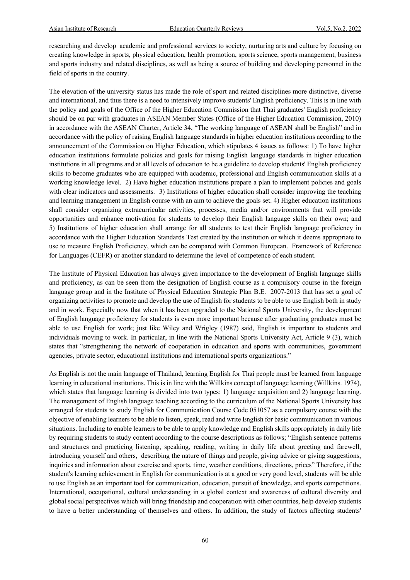researching and develop academic and professional services to society, nurturing arts and culture by focusing on creating knowledge in sports, physical education, health promotion, sports science, sports management, business and sports industry and related disciplines, as well as being a source of building and developing personnel in the field of sports in the country.

The elevation of the university status has made the role of sport and related disciplines more distinctive, diverse and international, and thus there is a need to intensively improve students' English proficiency. This is in line with the policy and goals of the Office of the Higher Education Commission that Thai graduates' English proficiency should be on par with graduates in ASEAN Member States (Office of the Higher Education Commission, 2010) in accordance with the ASEAN Charter, Article 34, "The working language of ASEAN shall be English" and in accordance with the policy of raising English language standards in higher education institutions according to the announcement of the Commission on Higher Education, which stipulates 4 issues as follows: 1) To have higher education institutions formulate policies and goals for raising English language standards in higher education institutions in all programs and at all levels of education to be a guideline to develop students' English proficiency skills to become graduates who are equipped with academic, professional and English communication skills at a working knowledge level. 2) Have higher education institutions prepare a plan to implement policies and goals with clear indicators and assessments. 3) Institutions of higher education shall consider improving the teaching and learning management in English course with an aim to achieve the goals set. 4) Higher education institutions shall consider organizing extracurricular activities, processes, media and/or environments that will provide opportunities and enhance motivation for students to develop their English language skills on their own; and 5) Institutions of higher education shall arrange for all students to test their English language proficiency in accordance with the Higher Education Standards Test created by the institution or which it deems appropriate to use to measure English Proficiency, which can be compared with Common European. Framework of Reference for Languages (CEFR) or another standard to determine the level of competence of each student.

The Institute of Physical Education has always given importance to the development of English language skills and proficiency, as can be seen from the designation of English course as a compulsory course in the foreign language group and in the Institute of Physical Education Strategic Plan B.E. 2007-2013 that has set a goal of organizing activities to promote and develop the use of English for students to be able to use English both in study and in work. Especially now that when it has been upgraded to the National Sports University, the development of English language proficiency for students is even more important because after graduating graduates must be able to use English for work; just like Wiley and Wrigley (1987) said, English is important to students and individuals moving to work. In particular, in line with the National Sports University Act, Article 9 (3), which states that "strengthening the network of cooperation in education and sports with communities, government agencies, private sector, educational institutions and international sports organizations."

As English is not the main language of Thailand, learning English for Thai people must be learned from language learning in educational institutions. This is in line with the Willkins concept of language learning (Willkins. 1974), which states that language learning is divided into two types: 1) language acquisition and 2) language learning. The management of English language teaching according to the curriculum of the National Sports University has arranged for students to study English for Communication Course Code 051057 as a compulsory course with the objective of enabling learners to be able to listen, speak, read and write English for basic communication in various situations. Including to enable learners to be able to apply knowledge and English skills appropriately in daily life by requiring students to study content according to the course descriptions as follows; "English sentence patterns and structures and practicing listening, speaking, reading, writing in daily life about greeting and farewell, introducing yourself and others, describing the nature of things and people, giving advice or giving suggestions, inquiries and information about exercise and sports, time, weather conditions, directions, prices" Therefore, if the student's learning achievement in English for communication is at a good or very good level, students will be able to use English as an important tool for communication, education, pursuit of knowledge, and sports competitions. International, occupational, cultural understanding in a global context and awareness of cultural diversity and global social perspectives which will bring friendship and cooperation with other countries, help develop students to have a better understanding of themselves and others. In addition, the study of factors affecting students'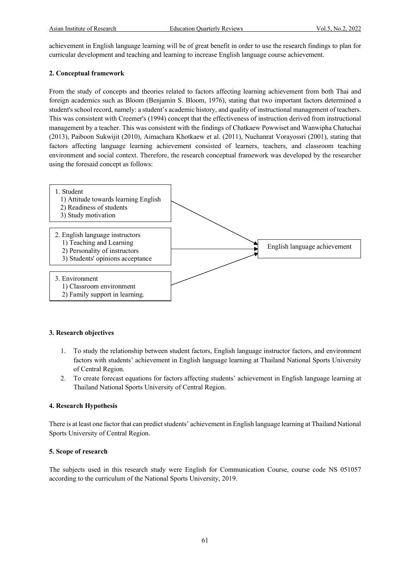achievement in English language learning will be of great benefit in order to use the research findings to plan for curricular development and teaching and learning to increase English language course achievement.

# **2. Conceptual framework**

From the study of concepts and theories related to factors affecting learning achievement from both Thai and foreign academics such as Bloom (Benjamin S. Bloom, 1976), stating that two important factors determined a student's school record, namely: a student's academic history, and quality of instructional management of teachers. This was consistent with Creemer's (1994) concept that the effectiveness of instruction derived from instructional management by a teacher. This was consistent with the findings of Chatkaew Powwiset and Wanwipha Chatuchai (2013), Paiboon Sukwijit (2010), Aimachara Khotkaew et al. (2011), Nuchanrat Vorayossri (2001), stating that factors affecting language learning achievement consisted of learners, teachers, and classroom teaching environment and social context. Therefore, the research conceptual framework was developed by the researcher using the foresaid concept as follows:



### **3. Research objectives**

- 1. To study the relationship between student factors, English language instructor factors, and environment factors with students' achievement in English language learning at Thailand National Sports University of Central Region.
- 2. To create forecast equations for factors affecting students' achievement in English language learning at Thailand National Sports University of Central Region.

# **4. Research Hypothesis**

There is at least one factor that can predict students' achievement in English language learning at Thailand National Sports University of Central Region.

### **5. Scope of research**

The subjects used in this research study were English for Communication Course, course code NS 051057 according to the curriculum of the National Sports University, 2019.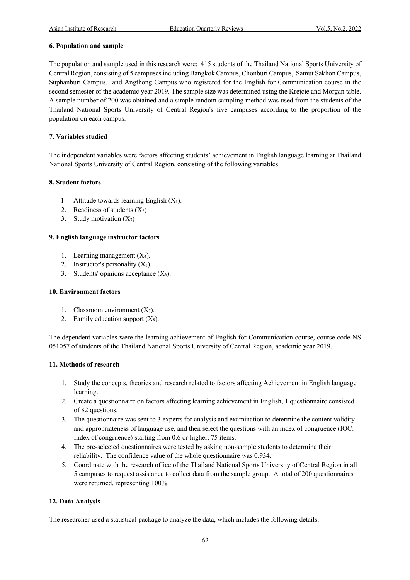# **6. Population and sample**

The population and sample used in this research were: 415 students of the Thailand National Sports University of Central Region, consisting of 5 campuses including Bangkok Campus, Chonburi Campus, Samut Sakhon Campus, Suphanburi Campus, and Angthong Campus who registered for the English for Communication course in the second semester of the academic year 2019. The sample size was determined using the Krejcie and Morgan table. A sample number of 200 was obtained and a simple random sampling method was used from the students of the Thailand National Sports University of Central Region's five campuses according to the proportion of the population on each campus.

# **7. Variables studied**

The independent variables were factors affecting students' achievement in English language learning at Thailand National Sports University of Central Region, consisting of the following variables:

# **8. Student factors**

- 1. Attitude towards learning English  $(X_1)$ .
- 2. Readiness of students  $(X_2)$
- 3. Study motivation  $(X_3)$

# **9. English language instructor factors**

- 1. Learning management  $(X_4)$ .
- 2. Instructor's personality  $(X_5)$ .
- 3. Students' opinions acceptance  $(X_6)$ .

### **10. Environment factors**

- 1. Classroom environment  $(X_7)$ .
- 2. Family education support  $(X_8)$ .

The dependent variables were the learning achievement of English for Communication course, course code NS 051057 of students of the Thailand National Sports University of Central Region, academic year 2019.

### **11. Methods of research**

- 1. Study the concepts, theories and research related to factors affecting Achievement in English language learning.
- 2. Create a questionnaire on factors affecting learning achievement in English, 1 questionnaire consisted of 82 questions.
- 3. The questionnaire was sent to 3 experts for analysis and examination to determine the content validity and appropriateness of language use, and then select the questions with an index of congruence (IOC: Index of congruence) starting from 0.6 or higher, 75 items.
- 4. The pre-selected questionnaires were tested by asking non-sample students to determine their reliability. The confidence value of the whole questionnaire was 0.934.
- 5. Coordinate with the research office of the Thailand National Sports University of Central Region in all 5 campuses to request assistance to collect data from the sample group. A total of 200 questionnaires were returned, representing 100%.

# **12. Data Analysis**

The researcher used a statistical package to analyze the data, which includes the following details: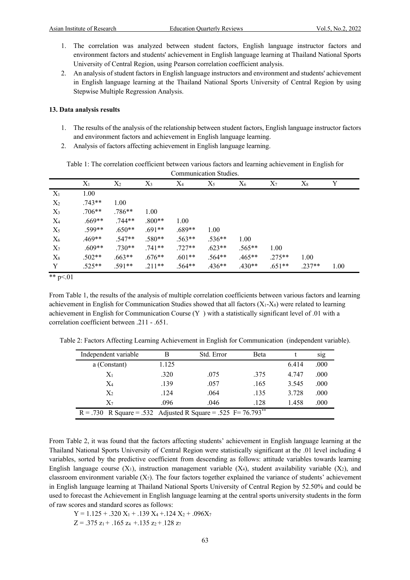- 1. The correlation was analyzed between student factors, English language instructor factors and environment factors and students' achievement in English language learning at Thailand National Sports University of Central Region, using Pearson correlation coefficient analysis.
- 2. An analysis of student factors in English language instructors and environment and students' achievement in English language learning at the Thailand National Sports University of Central Region by using Stepwise Multiple Regression Analysis.

#### **13. Data analysis results**

- 1. The results of the analysis of the relationship between student factors, English language instructor factors and environment factors and achievement in English language learning.
- 2. Analysis of factors affecting achievement in English language learning.

| Table 1: The correlation coefficient between various factors and learning achievement in English for |
|------------------------------------------------------------------------------------------------------|
| Communication Studies.                                                                               |

|       | $X_1$    | $X_2$    | $X_3$     | $X_4$    | $X_5$    | $X_6$    | $X_7$    | $X_8$    | Y    |
|-------|----------|----------|-----------|----------|----------|----------|----------|----------|------|
| $X_1$ | 1.00     |          |           |          |          |          |          |          |      |
| $X_2$ | $.743**$ | 1.00     |           |          |          |          |          |          |      |
| $X_3$ | $.706**$ | $.786**$ | 1.00      |          |          |          |          |          |      |
| $X_4$ | $.669**$ | $.744**$ | $0.800**$ | 1.00     |          |          |          |          |      |
| $X_5$ | $.599**$ | $.650**$ | $.691**$  | $.689**$ | 1.00     |          |          |          |      |
| $X_6$ | $.469**$ | $.547**$ | $.580**$  | $.563**$ | $.536**$ | 1.00     |          |          |      |
| $X_7$ | $.609**$ | $.730**$ | $.741**$  | $.727**$ | $.623**$ | $.565**$ | 1.00     |          |      |
| $X_8$ | $.502**$ | $.663**$ | $.676**$  | $.601**$ | $.564**$ | $.465**$ | $.275**$ | 1.00     |      |
| Y     | $.525**$ | $.591**$ | $.211**$  | $.564**$ | $.436**$ | $.430**$ | $.651**$ | $.237**$ | 1.00 |

\*\*  $p<.01$ 

From Table 1, the results of the analysis of multiple correlation coefficients between various factors and learning achievement in English for Communication Studies showed that all factors  $(X_1-X_8)$  were related to learning achievement in English for Communication Course  $(Y)$  with a statistically significant level of .01 with a correlation coefficient between .211 - .651.

Table 2: Factors Affecting Learning Achievement in English for Communication (independent variable).

| Independent variable                                                        | В     | Std. Error | <b>B</b> eta |       | s <sub>1g</sub> |  |  |  |
|-----------------------------------------------------------------------------|-------|------------|--------------|-------|-----------------|--|--|--|
| a (Constant)                                                                | 1.125 |            |              | 6.414 | .000            |  |  |  |
| $X_1$                                                                       | .320  | .075       | .375         | 4.747 | .000            |  |  |  |
| $X_4$                                                                       | .139  | .057       | .165         | 3.545 | .000            |  |  |  |
| $X_2$                                                                       | .124  | .064       | .135         | 3.728 | .000            |  |  |  |
| $\mathrm{X}_7$                                                              | .096  | .046       | .128         | 1.458 | .000            |  |  |  |
| $R = .730$ R Square = .532 Adjusted R Square = .525 F= 76.793 <sup>**</sup> |       |            |              |       |                 |  |  |  |

From Table 2, it was found that the factors affecting students' achievement in English language learning at the Thailand National Sports University of Central Region were statistically significant at the .01 level including 4 variables, sorted by the predictive coefficient from descending as follows: attitude variables towards learning English language course  $(X_1)$ , instruction management variable  $(X_4)$ , student availability variable  $(X_2)$ , and classroom environment variable  $(X_7)$ . The four factors together explained the variance of students' achievement in English language learning at Thailand National Sports University of Central Region by 52.50% and could be used to forecast the Achievement in English language learning at the central sports university students in the form of raw scores and standard scores as follows:

$$
Y = 1.125 + .320 X_1 + .139 X_4 + .124 X_2 + .096 X_7
$$
  
Z = .375 z<sub>1</sub> + .165 z<sub>4</sub> + .135 z<sub>2</sub> + .128 z<sub>7</sub>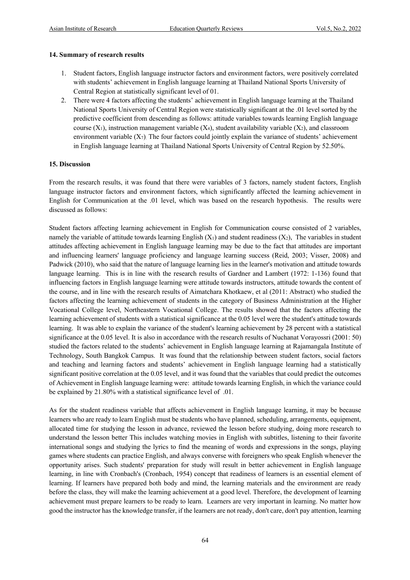# **14. Summary of research results**

- 1. Student factors, English language instructor factors and environment factors, were positively correlated with students' achievement in English language learning at Thailand National Sports University of Central Region at statistically significant level of 01.
- 2. There were 4 factors affecting the students' achievement in English language learning at the Thailand National Sports University of Central Region were statistically significant at the .01 level sorted by the predictive coefficient from descending as follows: attitude variables towards learning English language course  $(X_1)$ , instruction management variable  $(X_4)$ , student availability variable  $(X_2)$ , and classroom environment variable  $(X_7)$ . The four factors could jointly explain the variance of students' achievement in English language learning at Thailand National Sports University of Central Region by 52.50%.

# **15. Discussion**

From the research results, it was found that there were variables of 3 factors, namely student factors, English language instructor factors and environment factors, which significantly affected the learning achievement in English for Communication at the .01 level, which was based on the research hypothesis. The results were discussed as follows:

Student factors affecting learning achievement in English for Communication course consisted of 2 variables, namely the variable of attitude towards learning English  $(X_1)$  and student readiness  $(X_2)$ , The variables in student attitudes affecting achievement in English language learning may be due to the fact that attitudes are important and influencing learners' language proficiency and language learning success (Reid, 2003; Visser, 2008) and Padwick (2010), who said that the nature of language learning lies in the learner's motivation and attitude towards language learning. This is in line with the research results of Gardner and Lambert (1972: 1-136) found that influencing factors in English language learning were attitude towards instructors, attitude towards the content of the course, and in line with the research results of Aimatchara Khotkaew, et al (2011: Abstract) who studied the factors affecting the learning achievement of students in the category of Business Administration at the Higher Vocational College level, Northeastern Vocational College. The results showed that the factors affecting the learning achievement of students with a statistical significance at the 0.05 level were the student's attitude towards learning. It was able to explain the variance of the student's learning achievement by 28 percent with a statistical significance at the 0.05 level. It is also in accordance with the research results of Nuchanat Vorayossri (2001: 50) studied the factors related to the students' achievement in English language learning at Rajamangala Institute of Technology, South Bangkok Campus. It was found that the relationship between student factors, social factors and teaching and learning factors and students' achievement in English language learning had a statistically significant positive correlation at the 0.05 level, and it was found that the variables that could predict the outcomes of Achievement in English language learning were: attitude towards learning English, in which the variance could be explained by 21.80% with a statistical significance level of .01.

As for the student readiness variable that affects achievement in English language learning, it may be because learners who are ready to learn English must be students who have planned, scheduling, arrangements, equipment, allocated time for studying the lesson in advance, reviewed the lesson before studying, doing more research to understand the lesson better This includes watching movies in English with subtitles, listening to their favorite international songs and studying the lyrics to find the meaning of words and expressions in the songs, playing games where students can practice English, and always converse with foreigners who speak English whenever the opportunity arises. Such students' preparation for study will result in better achievement in English language learning, in line with Cronbach's (Cronbach, 1954) concept that readiness of learners is an essential element of learning. If learners have prepared both body and mind, the learning materials and the environment are ready before the class, they will make the learning achievement at a good level. Therefore, the development of learning achievement must prepare learners to be ready to learn. Learners are very important in learning. No matter how good the instructor has the knowledge transfer, if the learners are not ready, don't care, don't pay attention, learning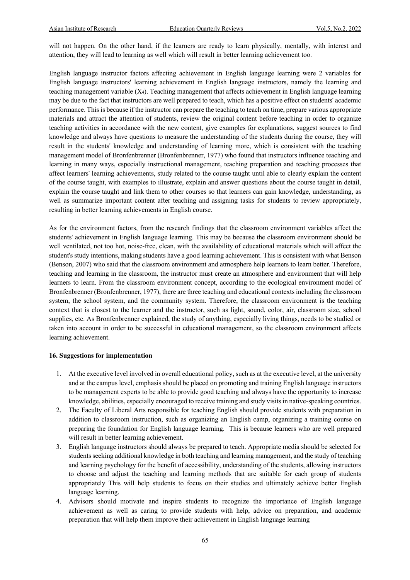will not happen. On the other hand, if the learners are ready to learn physically, mentally, with interest and attention, they will lead to learning as well which will result in better learning achievement too.

English language instructor factors affecting achievement in English language learning were 2 variables for English language instructors' learning achievement in English language instructors, namely the learning and teaching management variable  $(X_4)$ . Teaching management that affects achievement in English language learning may be due to the fact that instructors are well prepared to teach, which has a positive effect on students' academic performance. This is because if the instructor can prepare the teaching to teach on time, prepare various appropriate materials and attract the attention of students, review the original content before teaching in order to organize teaching activities in accordance with the new content, give examples for explanations, suggest sources to find knowledge and always have questions to measure the understanding of the students during the course, they will result in the students' knowledge and understanding of learning more, which is consistent with the teaching management model of Bronfenbrenner (Bronfenbrenner, 1977) who found that instructors influence teaching and learning in many ways, especially instructional management, teaching preparation and teaching processes that affect learners' learning achievements, study related to the course taught until able to clearly explain the content of the course taught, with examples to illustrate, explain and answer questions about the course taught in detail, explain the course taught and link them to other courses so that learners can gain knowledge, understanding, as well as summarize important content after teaching and assigning tasks for students to review appropriately, resulting in better learning achievements in English course.

As for the environment factors, from the research findings that the classroom environment variables affect the students' achievement in English language learning. This may be because the classroom environment should be well ventilated, not too hot, noise-free, clean, with the availability of educational materials which will affect the student's study intentions, making students have a good learning achievement. This is consistent with what Benson (Benson, 2007) who said that the classroom environment and atmosphere help learners to learn better. Therefore, teaching and learning in the classroom, the instructor must create an atmosphere and environment that will help learners to learn. From the classroom environment concept, according to the ecological environment model of Bronfenbrenner (Bronfenbrenner, 1977), there are three teaching and educational contexts including the classroom system, the school system, and the community system. Therefore, the classroom environment is the teaching context that is closest to the learner and the instructor, such as light, sound, color, air, classroom size, school supplies, etc. As Bronfenbrenner explained, the study of anything, especially living things, needs to be studied or taken into account in order to be successful in educational management, so the classroom environment affects learning achievement.

#### **16. Suggestions for implementation**

- 1. At the executive level involved in overall educational policy, such as at the executive level, at the university and at the campus level, emphasis should be placed on promoting and training English language instructors to be management experts to be able to provide good teaching and always have the opportunity to increase knowledge, abilities, especially encouraged to receive training and study visits in native-speaking countries.
- 2. The Faculty of Liberal Arts responsible for teaching English should provide students with preparation in addition to classroom instruction, such as organizing an English camp, organizing a training course on preparing the foundation for English language learning. This is because learners who are well prepared will result in better learning achievement.
- 3. English language instructors should always be prepared to teach. Appropriate media should be selected for students seeking additional knowledge in both teaching and learning management, and the study of teaching and learning psychology for the benefit of accessibility, understanding of the students, allowing instructors to choose and adjust the teaching and learning methods that are suitable for each group of students appropriately This will help students to focus on their studies and ultimately achieve better English language learning.
- 4. Advisors should motivate and inspire students to recognize the importance of English language achievement as well as caring to provide students with help, advice on preparation, and academic preparation that will help them improve their achievement in English language learning